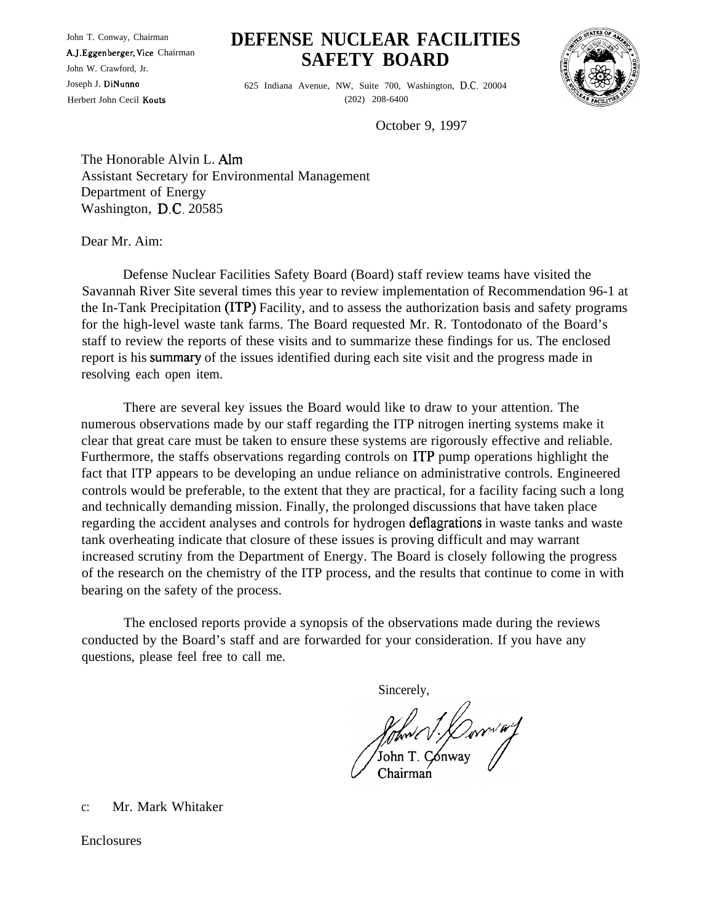A.J. Eggenberger, Vice Chairman

## John T. Conway, Chairman **DEFENSE NUCLEAR FACILITIES** A.J. Eggenberger, Vice Chairman<br>John W. Crawford, Jr. **SAFETY BOARD**



Joseph J. 625 Indiana Avenue, NW, Suite 700, Washington, 20004 Herbert John Cecil Kouts (202) 208-6400

October 9, 1997

The Honorable Alvin L. Assistant Secretary for Environmental Management Department of Energy Washington, D.C. 20585

Dear Mr. Aim:

Defense Nuclear Facilities Safety Board (Board) staff review teams have visited the Savannah River Site several times this year to review implementation of Recommendation 96-1 at the In-Tank Precipitation (ITP) Facility, and to assess the authorization basis and safety programs for the high-level waste tank farms. The Board requested Mr. R. Tontodonato of the Board's staff to review the reports of these visits and to summarize these findings for us. The enclosed report is his summary of the issues identified during each site visit and the progress made in resolving each open item.

There are several key issues the Board would like to draw to your attention. The numerous observations made by our staff regarding the ITP nitrogen inerting systems make it clear that great care must be taken to ensure these systems are rigorously effective and reliable. Furthermore, the staffs observations regarding controls on ITP pump operations highlight the fact that ITP appears to be developing an undue reliance on administrative controls. Engineered controls would be preferable, to the extent that they are practical, for a facility facing such a long and technically demanding mission. Finally, the prolonged discussions that have taken place regarding the accident analyses and controls for hydrogen deflagrations in waste tanks and waste tank overheating indicate that closure of these issues is proving difficult and may warrant increased scrutiny from the Department of Energy. The Board is closely following the progress of the research on the chemistry of the ITP process, and the results that continue to come in with bearing on the safety of the process.

The enclosed reports provide a synopsis of the observations made during the reviews conducted by the Board's staff and are forwarded for your consideration. If you have any questions, please feel free to call me.

Sincerely,

*fftwl J. Derres of* 

c: Mr. Mark Whitaker

Enclosures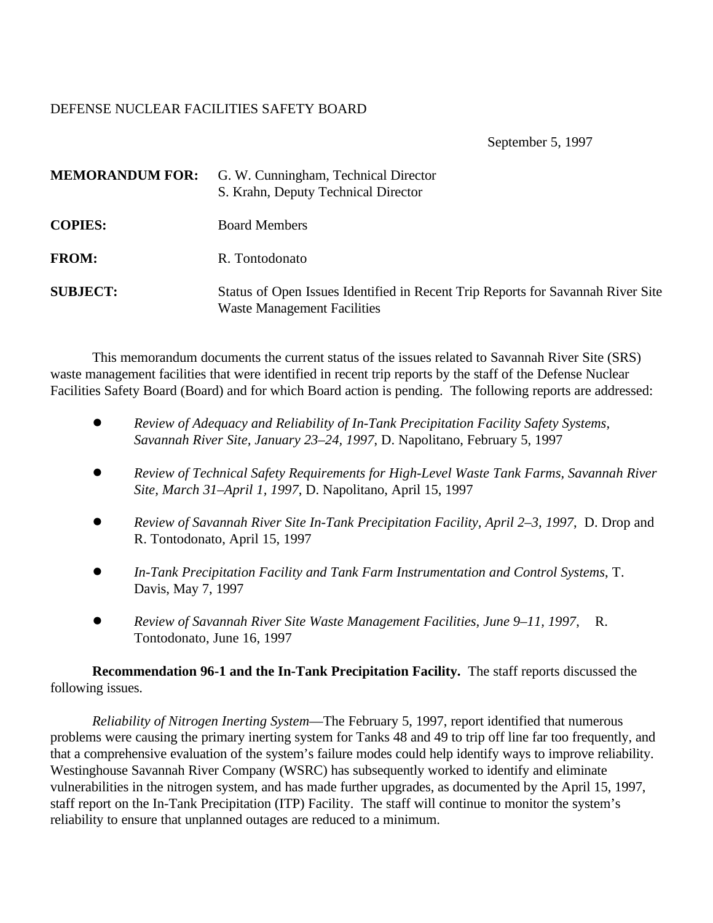## DEFENSE NUCLEAR FACILITIES SAFETY BOARD

September 5, 1997

| <b>MEMORANDUM FOR:</b> | G. W. Cunningham, Technical Director<br>S. Krahn, Deputy Technical Director                                           |
|------------------------|-----------------------------------------------------------------------------------------------------------------------|
| <b>COPIES:</b>         | <b>Board Members</b>                                                                                                  |
| <b>FROM:</b>           | R. Tontodonato                                                                                                        |
| <b>SUBJECT:</b>        | Status of Open Issues Identified in Recent Trip Reports for Savannah River Site<br><b>Waste Management Facilities</b> |

This memorandum documents the current status of the issues related to Savannah River Site (SRS) waste management facilities that were identified in recent trip reports by the staff of the Defense Nuclear Facilities Safety Board (Board) and for which Board action is pending. The following reports are addressed:

- ! *Review of Adequacy and Reliability of In-Tank Precipitation Facility Safety Systems, Savannah River Site, January 23–24, 1997*, D. Napolitano, February 5, 1997
- ! *Review of Technical Safety Requirements for High-Level Waste Tank Farms, Savannah River Site, March 31–April 1, 1997*, D. Napolitano, April 15, 1997
- ! *Review of Savannah River Site In-Tank Precipitation Facility, April 2–3, 1997*, D. Drop and R. Tontodonato, April 15, 1997
- ! *In-Tank Precipitation Facility and Tank Farm Instrumentation and Control Systems*, T. Davis, May 7, 1997
- *! Review of Savannah River Site Waste Management Facilities, June 9–11, 1997*, R. Tontodonato, June 16, 1997

**Recommendation 96-1 and the In-Tank Precipitation Facility.** The staff reports discussed the following issues.

*Reliability of Nitrogen Inerting System*—The February 5, 1997, report identified that numerous problems were causing the primary inerting system for Tanks 48 and 49 to trip off line far too frequently, and that a comprehensive evaluation of the system's failure modes could help identify ways to improve reliability. Westinghouse Savannah River Company (WSRC) has subsequently worked to identify and eliminate vulnerabilities in the nitrogen system, and has made further upgrades, as documented by the April 15, 1997, staff report on the In-Tank Precipitation (ITP) Facility. The staff will continue to monitor the system's reliability to ensure that unplanned outages are reduced to a minimum.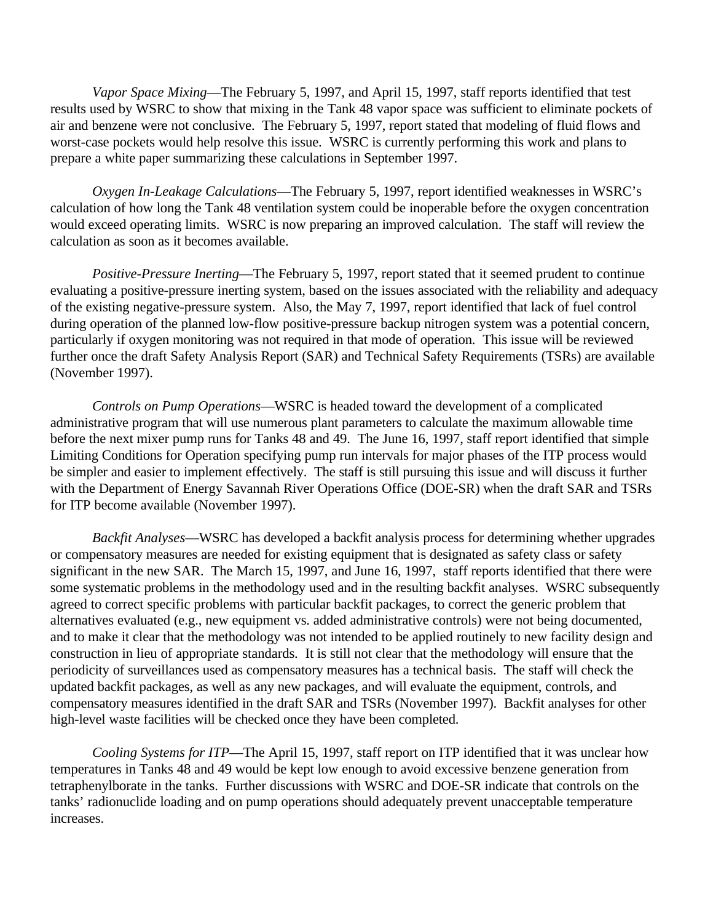*Vapor Space Mixing*—The February 5, 1997, and April 15, 1997, staff reports identified that test results used by WSRC to show that mixing in the Tank 48 vapor space was sufficient to eliminate pockets of air and benzene were not conclusive. The February 5, 1997, report stated that modeling of fluid flows and worst-case pockets would help resolve this issue. WSRC is currently performing this work and plans to prepare a white paper summarizing these calculations in September 1997.

*Oxygen In-Leakage Calculations*—The February 5, 1997, report identified weaknesses in WSRC's calculation of how long the Tank 48 ventilation system could be inoperable before the oxygen concentration would exceed operating limits. WSRC is now preparing an improved calculation. The staff will review the calculation as soon as it becomes available.

*Positive-Pressure Inerting*—The February 5, 1997, report stated that it seemed prudent to continue evaluating a positive-pressure inerting system, based on the issues associated with the reliability and adequacy of the existing negative-pressure system. Also, the May 7, 1997, report identified that lack of fuel control during operation of the planned low-flow positive-pressure backup nitrogen system was a potential concern, particularly if oxygen monitoring was not required in that mode of operation. This issue will be reviewed further once the draft Safety Analysis Report (SAR) and Technical Safety Requirements (TSRs) are available (November 1997).

*Controls on Pump Operations*—WSRC is headed toward the development of a complicated administrative program that will use numerous plant parameters to calculate the maximum allowable time before the next mixer pump runs for Tanks 48 and 49. The June 16, 1997, staff report identified that simple Limiting Conditions for Operation specifying pump run intervals for major phases of the ITP process would be simpler and easier to implement effectively. The staff is still pursuing this issue and will discuss it further with the Department of Energy Savannah River Operations Office (DOE-SR) when the draft SAR and TSRs for ITP become available (November 1997).

*Backfit Analyses*—WSRC has developed a backfit analysis process for determining whether upgrades or compensatory measures are needed for existing equipment that is designated as safety class or safety significant in the new SAR. The March 15, 1997, and June 16, 1997, staff reports identified that there were some systematic problems in the methodology used and in the resulting backfit analyses. WSRC subsequently agreed to correct specific problems with particular backfit packages, to correct the generic problem that alternatives evaluated (e.g., new equipment vs. added administrative controls) were not being documented, and to make it clear that the methodology was not intended to be applied routinely to new facility design and construction in lieu of appropriate standards. It is still not clear that the methodology will ensure that the periodicity of surveillances used as compensatory measures has a technical basis. The staff will check the updated backfit packages, as well as any new packages, and will evaluate the equipment, controls, and compensatory measures identified in the draft SAR and TSRs (November 1997). Backfit analyses for other high-level waste facilities will be checked once they have been completed.

*Cooling Systems for ITP*—The April 15, 1997, staff report on ITP identified that it was unclear how temperatures in Tanks 48 and 49 would be kept low enough to avoid excessive benzene generation from tetraphenylborate in the tanks. Further discussions with WSRC and DOE-SR indicate that controls on the tanks' radionuclide loading and on pump operations should adequately prevent unacceptable temperature increases.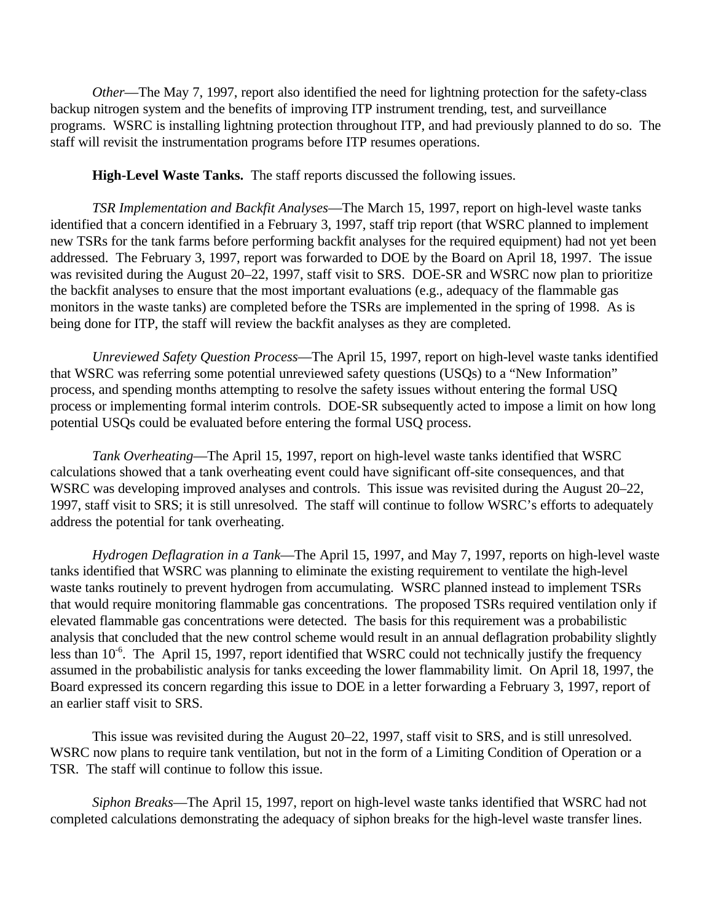*Other*—The May 7, 1997, report also identified the need for lightning protection for the safety-class backup nitrogen system and the benefits of improving ITP instrument trending, test, and surveillance programs. WSRC is installing lightning protection throughout ITP, and had previously planned to do so. The staff will revisit the instrumentation programs before ITP resumes operations.

**High-Level Waste Tanks.** The staff reports discussed the following issues.

*TSR Implementation and Backfit Analyses*—The March 15, 1997, report on high-level waste tanks identified that a concern identified in a February 3, 1997, staff trip report (that WSRC planned to implement new TSRs for the tank farms before performing backfit analyses for the required equipment) had not yet been addressed. The February 3, 1997, report was forwarded to DOE by the Board on April 18, 1997. The issue was revisited during the August 20–22, 1997, staff visit to SRS. DOE-SR and WSRC now plan to prioritize the backfit analyses to ensure that the most important evaluations (e.g., adequacy of the flammable gas monitors in the waste tanks) are completed before the TSRs are implemented in the spring of 1998. As is being done for ITP, the staff will review the backfit analyses as they are completed.

*Unreviewed Safety Question Process*—The April 15, 1997, report on high-level waste tanks identified that WSRC was referring some potential unreviewed safety questions (USQs) to a "New Information" process, and spending months attempting to resolve the safety issues without entering the formal USQ process or implementing formal interim controls. DOE-SR subsequently acted to impose a limit on how long potential USQs could be evaluated before entering the formal USQ process.

*Tank Overheating*—The April 15, 1997, report on high-level waste tanks identified that WSRC calculations showed that a tank overheating event could have significant off-site consequences, and that WSRC was developing improved analyses and controls. This issue was revisited during the August 20–22, 1997, staff visit to SRS; it is still unresolved. The staff will continue to follow WSRC's efforts to adequately address the potential for tank overheating.

*Hydrogen Deflagration in a Tank*—The April 15, 1997, and May 7, 1997, reports on high-level waste tanks identified that WSRC was planning to eliminate the existing requirement to ventilate the high-level waste tanks routinely to prevent hydrogen from accumulating. WSRC planned instead to implement TSRs that would require monitoring flammable gas concentrations. The proposed TSRs required ventilation only if elevated flammable gas concentrations were detected. The basis for this requirement was a probabilistic analysis that concluded that the new control scheme would result in an annual deflagration probability slightly less than  $10^{-6}$ . The April 15, 1997, report identified that WSRC could not technically justify the frequency assumed in the probabilistic analysis for tanks exceeding the lower flammability limit. On April 18, 1997, the Board expressed its concern regarding this issue to DOE in a letter forwarding a February 3, 1997, report of an earlier staff visit to SRS.

This issue was revisited during the August 20–22, 1997, staff visit to SRS, and is still unresolved. WSRC now plans to require tank ventilation, but not in the form of a Limiting Condition of Operation or a TSR. The staff will continue to follow this issue.

*Siphon Breaks*—The April 15, 1997, report on high-level waste tanks identified that WSRC had not completed calculations demonstrating the adequacy of siphon breaks for the high-level waste transfer lines.